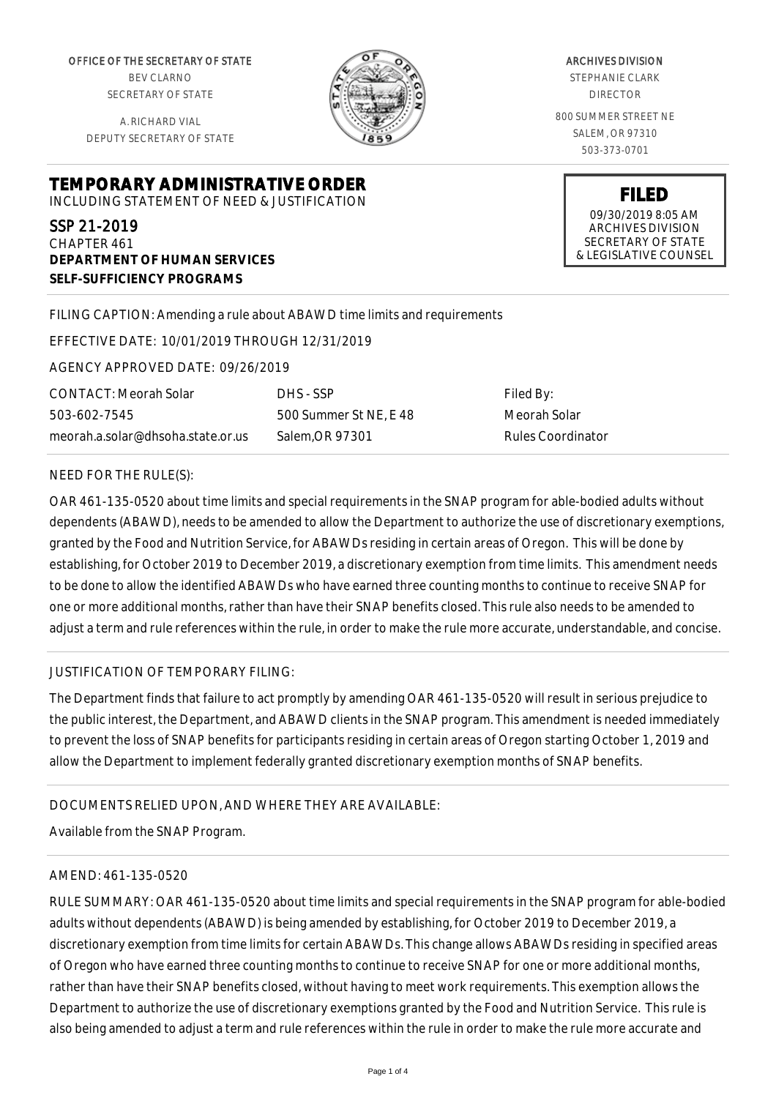OFFICE OF THE SECRETARY OF STATE BEV CLARNO SECRETARY OF STATE

A. RICHARD VIAL DEPUTY SECRETARY OF STATE

**DEPARTMENT OF HUMAN SERVICES**

**SELF-SUFFICIENCY PROGRAMS**



ARCHIVES DIVISION STEPHANIE CLARK DIRECTOR 800 SUMMER STREET NE SALEM, OR 97310 503-373-0701

> **FILED** 09/30/2019 8:05 AM ARCHIVES DIVISION SECRETARY OF STATE

& LEGISLATIVE COUNSEL

FILING CAPTION: Amending a rule about ABAWD time limits and requirements

EFFECTIVE DATE: 10/01/2019 THROUGH 12/31/2019

**TEMPORARY ADMINISTRATIVE ORDER** INCLUDING STATEMENT OF NEED & JUSTIFICATION

AGENCY APPROVED DATE: 09/26/2019

CONTACT: Meorah Solar 503-602-7545 meorah.a.solar@dhsoha.state.or.us

DHS - SSP 500 Summer St NE, E 48 Salem,OR 97301

Filed By: Meorah Solar Rules Coordinator

## NEED FOR THE RULE(S):

SSP 21-2019 CHAPTER 461

OAR 461-135-0520 about time limits and special requirements in the SNAP program for able-bodied adults without dependents (ABAWD), needs to be amended to allow the Department to authorize the use of discretionary exemptions, granted by the Food and Nutrition Service, for ABAWDs residing in certain areas of Oregon. This will be done by establishing, for October 2019 to December 2019, a discretionary exemption from time limits. This amendment needs to be done to allow the identified ABAWDs who have earned three counting months to continue to receive SNAP for one or more additional months, rather than have their SNAP benefits closed. This rule also needs to be amended to adjust a term and rule references within the rule, in order to make the rule more accurate, understandable, and concise.

## JUSTIFICATION OF TEMPORARY FILING:

The Department finds that failure to act promptly by amending OAR 461-135-0520 will result in serious prejudice to the public interest, the Department, and ABAWD clients in the SNAP program. This amendment is needed immediately to prevent the loss of SNAP benefits for participants residing in certain areas of Oregon starting October 1, 2019 and allow the Department to implement federally granted discretionary exemption months of SNAP benefits.

# DOCUMENTS RELIED UPON, AND WHERE THEY ARE AVAILABLE:

Available from the SNAP Program.

#### AMEND: 461-135-0520

RULE SUMMARY: OAR 461-135-0520 about time limits and special requirements in the SNAP program for able-bodied adults without dependents (ABAWD) is being amended by establishing, for October 2019 to December 2019, a discretionary exemption from time limits for certain ABAWDs. This change allows ABAWDs residing in specified areas of Oregon who have earned three counting months to continue to receive SNAP for one or more additional months, rather than have their SNAP benefits closed, without having to meet work requirements. This exemption allows the Department to authorize the use of discretionary exemptions granted by the Food and Nutrition Service. This rule is also being amended to adjust a term and rule references within the rule in order to make the rule more accurate and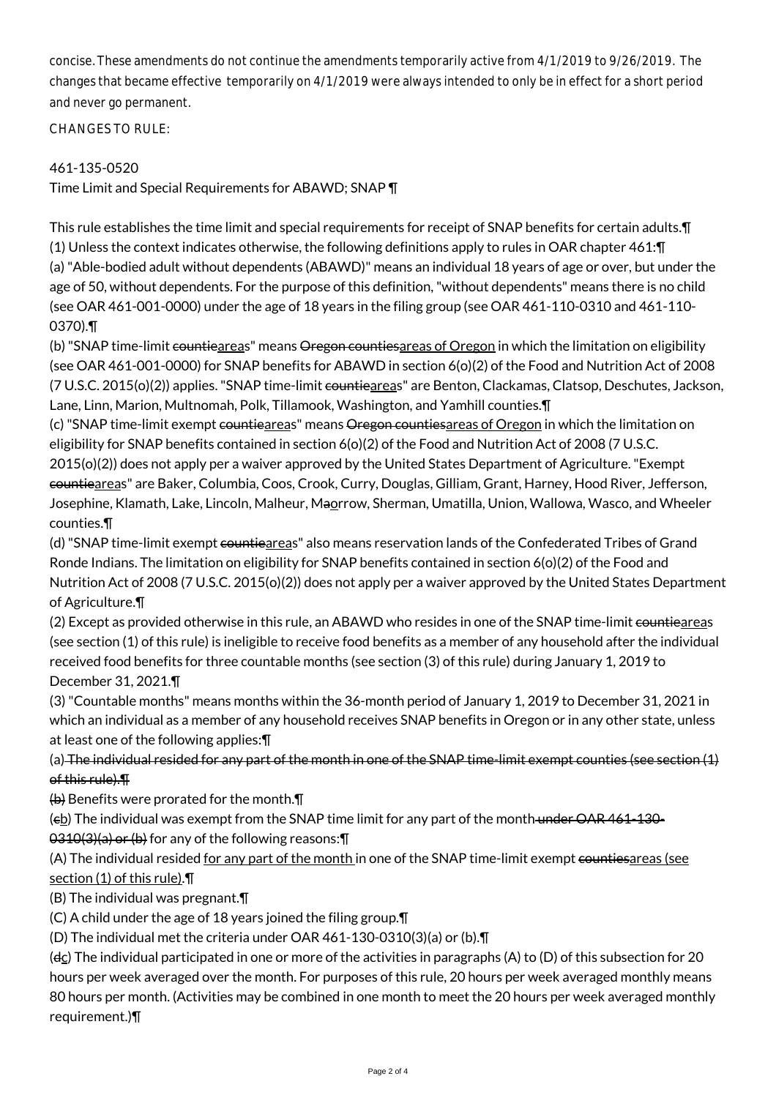concise. These amendments do not continue the amendments temporarily active from 4/1/2019 to 9/26/2019. The changes that became effective temporarily on 4/1/2019 were always intended to only be in effect for a short period and never go permanent.

CHANGES TO RULE:

# 461-135-0520

Time Limit and Special Requirements for ABAWD; SNAP ¶

This rule establishes the time limit and special requirements for receipt of SNAP benefits for certain adults.¶ (1) Unless the context indicates otherwise, the following definitions apply to rules in OAR chapter 461:¶ (a) "Able-bodied adult without dependents (ABAWD)" means an individual 18 years of age or over, but under the age of 50, without dependents. For the purpose of this definition, "without dependents" means there is no child (see OAR 461-001-0000) under the age of 18 years in the filing group (see OAR 461-110-0310 and 461-110- 0370).¶

(b) "SNAP time-limit countieareas" means Oregon countiesareas of Oregon in which the limitation on eligibility (see OAR 461-001-0000) for SNAP benefits for ABAWD in section 6(o)(2) of the Food and Nutrition Act of 2008 (7 U.S.C. 2015(o)(2)) applies. "SNAP time-limit countieareas" are Benton, Clackamas, Clatsop, Deschutes, Jackson, Lane, Linn, Marion, Multnomah, Polk, Tillamook, Washington, and Yamhill counties.¶

(c) "SNAP time-limit exempt countieareas" means Oregon countiesareas of Oregon in which the limitation on eligibility for SNAP benefits contained in section 6(o)(2) of the Food and Nutrition Act of 2008 (7 U.S.C. 2015(o)(2)) does not apply per a waiver approved by the United States Department of Agriculture. "Exempt countieareas" are Baker, Columbia, Coos, Crook, Curry, Douglas, Gilliam, Grant, Harney, Hood River, Jefferson, Josephine, Klamath, Lake, Lincoln, Malheur, Maorrow, Sherman, Umatilla, Union, Wallowa, Wasco, and Wheeler counties.¶

(d) "SNAP time-limit exempt countieareas" also means reservation lands of the Confederated Tribes of Grand Ronde Indians. The limitation on eligibility for SNAP benefits contained in section 6(o)(2) of the Food and Nutrition Act of 2008 (7 U.S.C. 2015(o)(2)) does not apply per a waiver approved by the United States Department of Agriculture.¶

(2) Except as provided otherwise in this rule, an ABAWD who resides in one of the SNAP time-limit countieareas (see section (1) of this rule) is ineligible to receive food benefits as a member of any household after the individual received food benefits for three countable months (see section (3) of this rule) during January 1, 2019 to December 31, 2021.¶

(3) "Countable months" means months within the 36-month period of January 1, 2019 to December 31, 2021 in which an individual as a member of any household receives SNAP benefits in Oregon or in any other state, unless at least one of the following applies:¶

(a) The individual resided for any part of the month in one of the SNAP time-limit exempt counties (see section (1) of this rule).¶

 $\left\langle \theta \right\rangle$  Benefits were prorated for the month. $\P$ 

 $(e<sub>b</sub>)$  The individual was exempt from the SNAP time limit for any part of the month under OAR 461-130-0310(3)(a) or (b) for any of the following reasons:¶

(A) The individual resided for any part of the month in one of the SNAP time-limit exempt countiesareas (see section (1) of this rule).¶

(B) The individual was pregnant.¶

(C) A child under the age of 18 years joined the filing group.¶

(D) The individual met the criteria under OAR 461-130-0310(3)(a) or (b).¶

( $dc$ ) The individual participated in one or more of the activities in paragraphs (A) to (D) of this subsection for 20 hours per week averaged over the month. For purposes of this rule, 20 hours per week averaged monthly means 80 hours per month. (Activities may be combined in one month to meet the 20 hours per week averaged monthly requirement.)¶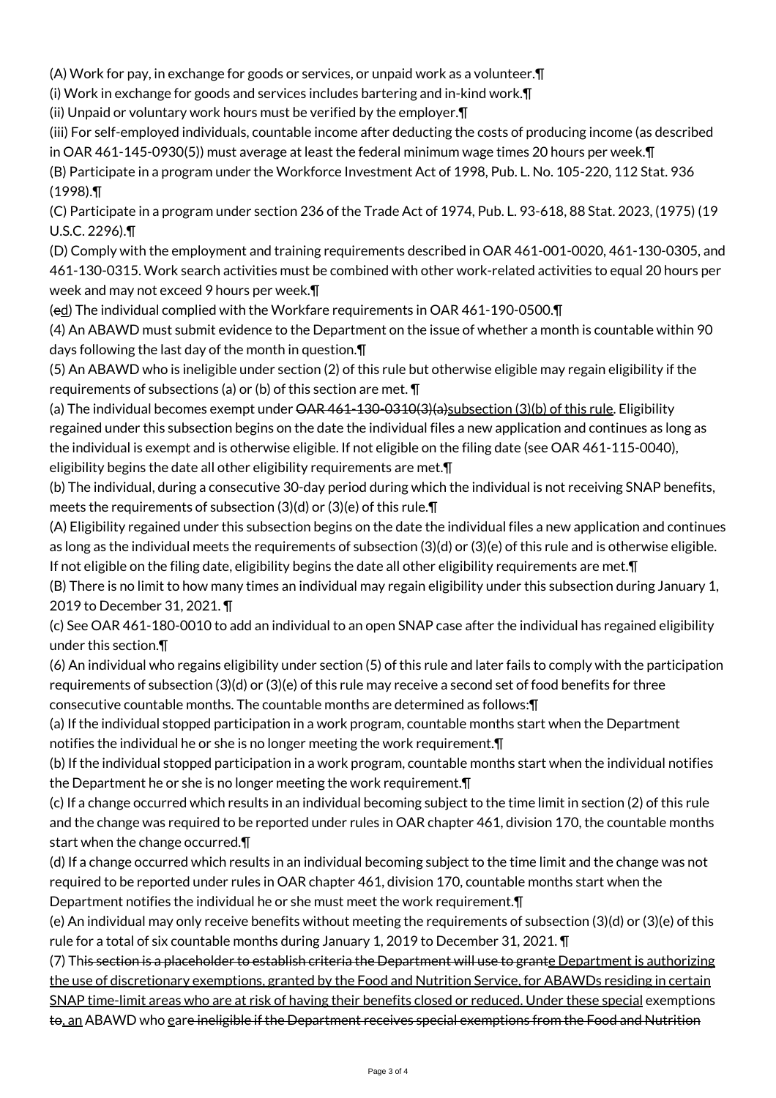(A) Work for pay, in exchange for goods or services, or unpaid work as a volunteer.¶

(i) Work in exchange for goods and services includes bartering and in-kind work.¶

(ii) Unpaid or voluntary work hours must be verified by the employer.¶

(iii) For self-employed individuals, countable income after deducting the costs of producing income (as described in OAR 461-145-0930(5)) must average at least the federal minimum wage times 20 hours per week.¶ (B) Participate in a program under the Workforce Investment Act of 1998, Pub. L. No. 105-220, 112 Stat. 936

(1998).¶

(C) Participate in a program under section 236 of the Trade Act of 1974, Pub. L. 93-618, 88 Stat. 2023, (1975) (19 U.S.C. 2296).¶

(D) Comply with the employment and training requirements described in OAR 461-001-0020, 461-130-0305, and 461-130-0315. Work search activities must be combined with other work-related activities to equal 20 hours per week and may not exceed 9 hours per week.¶

(ed) The individual complied with the Workfare requirements in OAR 461-190-0500.¶

(4) An ABAWD must submit evidence to the Department on the issue of whether a month is countable within 90 days following the last day of the month in question.¶

(5) An ABAWD who is ineligible under section (2) of this rule but otherwise eligible may regain eligibility if the requirements of subsections (a) or (b) of this section are met. ¶

(a) The individual becomes exempt under  $\Theta$ AR 461-130-0310(3)(a)subsection (3)(b) of this rule. Eligibility regained under this subsection begins on the date the individual files a new application and continues as long as the individual is exempt and is otherwise eligible. If not eligible on the filing date (see OAR 461-115-0040), eligibility begins the date all other eligibility requirements are met.¶

(b) The individual, during a consecutive 30-day period during which the individual is not receiving SNAP benefits, meets the requirements of subsection (3)(d) or (3)(e) of this rule.¶

(A) Eligibility regained under this subsection begins on the date the individual files a new application and continues as long as the individual meets the requirements of subsection (3)(d) or (3)(e) of this rule and is otherwise eligible. If not eligible on the filing date, eligibility begins the date all other eligibility requirements are met.¶

(B) There is no limit to how many times an individual may regain eligibility under this subsection during January 1, 2019 to December 31, 2021. ¶

(c) See OAR 461-180-0010 to add an individual to an open SNAP case after the individual has regained eligibility under this section.¶

(6) An individual who regains eligibility under section (5) of this rule and later fails to comply with the participation requirements of subsection (3)(d) or (3)(e) of this rule may receive a second set of food benefits for three consecutive countable months. The countable months are determined as follows:¶

(a) If the individual stopped participation in a work program, countable months start when the Department notifies the individual he or she is no longer meeting the work requirement.¶

(b) If the individual stopped participation in a work program, countable months start when the individual notifies the Department he or she is no longer meeting the work requirement.¶

(c) If a change occurred which results in an individual becoming subject to the time limit in section (2) of this rule and the change was required to be reported under rules in OAR chapter 461, division 170, the countable months start when the change occurred.¶

(d) If a change occurred which results in an individual becoming subject to the time limit and the change was not required to be reported under rules in OAR chapter 461, division 170, countable months start when the Department notifies the individual he or she must meet the work requirement.¶

(e) An individual may only receive benefits without meeting the requirements of subsection (3)(d) or (3)(e) of this rule for a total of six countable months during January 1, 2019 to December 31, 2021. ¶

(7) This section is a placeholder to establish criteria the Department will use to grante Department is authorizing the use of discretionary exemptions, granted by the Food and Nutrition Service, for ABAWDs residing in certain SNAP time-limit areas who are at risk of having their benefits closed or reduced. Under these special exemptions to, an ABAWD who gare ineligible if the Department receives special exemptions from the Food and Nutrition